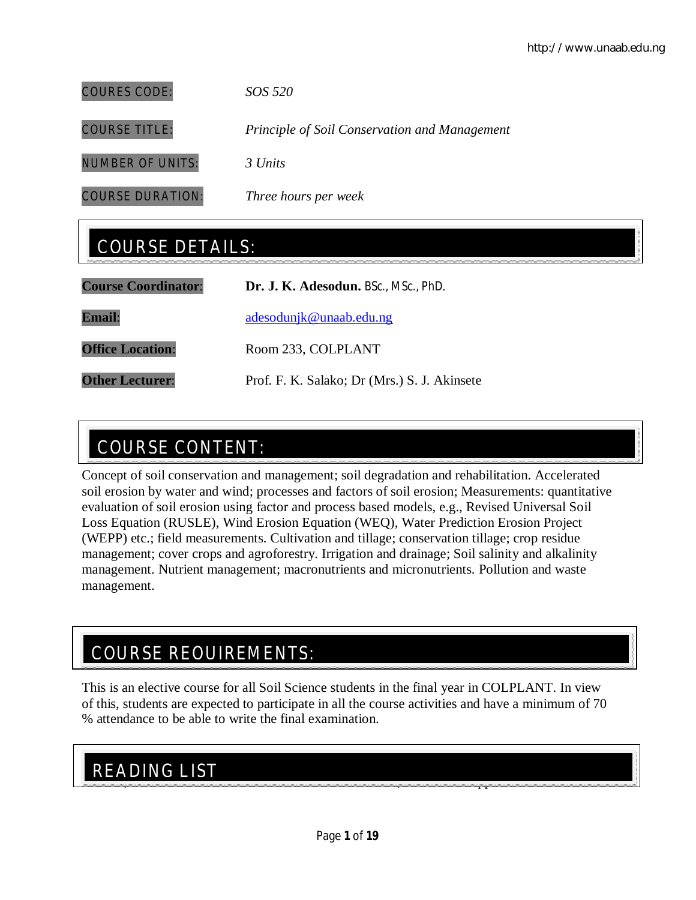COURES CODE: *SOS 520*

COURSE TITLE: *Principle of Soil Conservation and Management*

NUMBER OF UNITS: *3 Units*

COURSE DURATION: *Three hours per week*

## COURSE DETAILS:

| <b>Course Coordinator:</b> | Dr. J. K. Adesodun. BSc., MSc., PhD.         |
|----------------------------|----------------------------------------------|
| <b>Email:</b>              | adesodunjk@unaab.edu.ng                      |
| <b>Office Location:</b>    | Room 233, COLPLANT                           |
| <b>Other Lecturer:</b>     | Prof. F. K. Salako; Dr (Mrs.) S. J. Akinsete |

# COURSE CONTENT:

Concept of soil conservation and management; soil degradation and rehabilitation. Accelerated soil erosion by water and wind; processes and factors of soil erosion; Measurements: quantitative evaluation of soil erosion using factor and process based models, e.g., Revised Universal Soil Loss Equation (RUSLE), Wind Erosion Equation (WEQ), Water Prediction Erosion Project (WEPP) etc.; field measurements. Cultivation and tillage; conservation tillage; crop residue management; cover crops and agroforestry. Irrigation and drainage; Soil salinity and alkalinity management. Nutrient management; macronutrients and micronutrients. Pollution and waste management.

## COURSE REQUIREMENTS:

This is an elective course for all Soil Science students in the final year in COLPLANT. In view of this, students are expected to participate in all the course activities and have a minimum of 70 % attendance to be able to write the final examination.

## $\frac{1}{12}$ READING LIST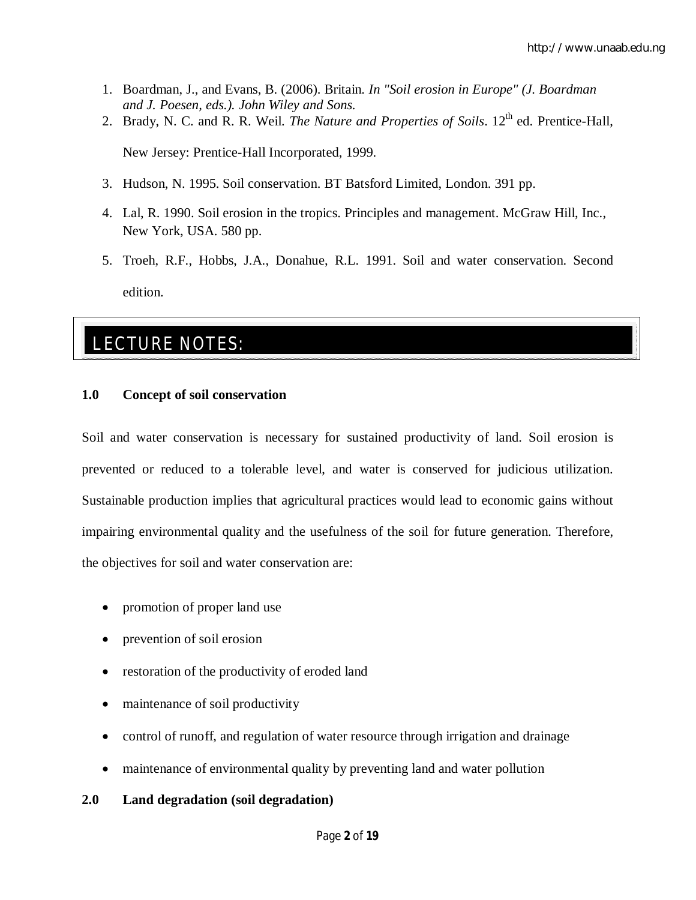- 1. Boardman, J., and Evans, B. (2006). Britain. *In "Soil erosion in Europe" (J. Boardman and J. Poesen, eds.). John Wiley and Sons.*
- 2. Brady, N. C. and R. R. Weil. *The Nature and Properties of Soils*. 12<sup>th</sup> ed. Prentice-Hall,

New Jersey: Prentice-Hall Incorporated, 1999.

- 3. Hudson, N. 1995. Soil conservation. BT Batsford Limited, London. 391 pp.
- 4. Lal, R. 1990. Soil erosion in the tropics. Principles and management. McGraw Hill, Inc., New York, USA. 580 pp.
- 5. Troeh, R.F., Hobbs, J.A., Donahue, R.L. 1991. Soil and water conservation. Second edition.

## LECTURE NOTES:

#### **1.0 Concept of soil conservation**

Soil and water conservation is necessary for sustained productivity of land. Soil erosion is prevented or reduced to a tolerable level, and water is conserved for judicious utilization. Sustainable production implies that agricultural practices would lead to economic gains without impairing environmental quality and the usefulness of the soil for future generation. Therefore, the objectives for soil and water conservation are:

- promotion of proper land use
- prevention of soil erosion
- restoration of the productivity of eroded land
- maintenance of soil productivity
- control of runoff, and regulation of water resource through irrigation and drainage
- maintenance of environmental quality by preventing land and water pollution

#### **2.0 Land degradation (soil degradation)**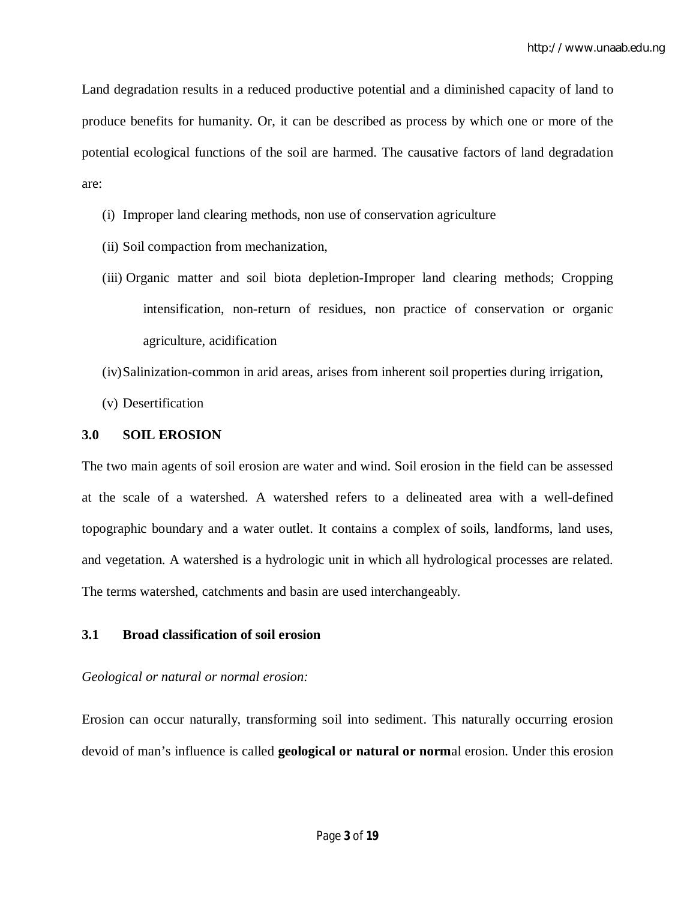Land degradation results in a reduced productive potential and a diminished capacity of land to produce benefits for humanity. Or, it can be described as process by which one or more of the potential ecological functions of the soil are harmed. The causative factors of land degradation are:

- (i) Improper land clearing methods, non use of conservation agriculture
- (ii) Soil compaction from mechanization,
- (iii) Organic matter and soil biota depletion-Improper land clearing methods; Cropping intensification, non-return of residues, non practice of conservation or organic agriculture, acidification
- (iv)Salinization-common in arid areas, arises from inherent soil properties during irrigation,
- (v) Desertification

#### **3.0 SOIL EROSION**

The two main agents of soil erosion are water and wind. Soil erosion in the field can be assessed at the scale of a watershed. A watershed refers to a delineated area with a well-defined topographic boundary and a water outlet. It contains a complex of soils, landforms, land uses, and vegetation. A watershed is a hydrologic unit in which all hydrological processes are related. The terms watershed, catchments and basin are used interchangeably.

## **3.1 Broad classification of soil erosion**

## *Geological or natural or normal erosion:*

Erosion can occur naturally, transforming soil into sediment. This naturally occurring erosion devoid of man's influence is called **geological or natural or norm**al erosion. Under this erosion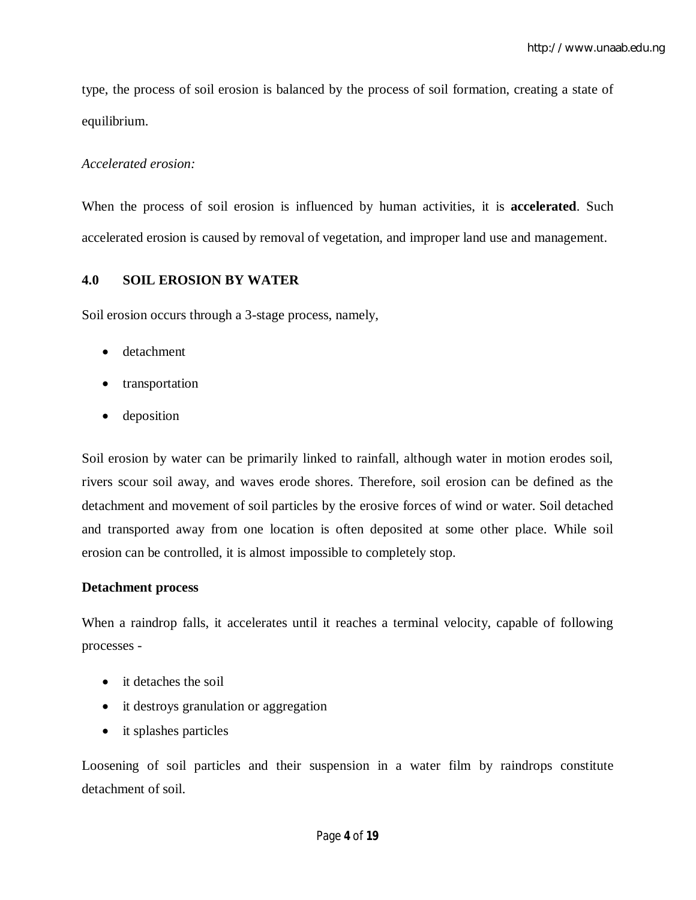type, the process of soil erosion is balanced by the process of soil formation, creating a state of equilibrium.

#### *Accelerated erosion:*

When the process of soil erosion is influenced by human activities, it is **accelerated**. Such accelerated erosion is caused by removal of vegetation, and improper land use and management.

## **4.0 SOIL EROSION BY WATER**

Soil erosion occurs through a 3-stage process, namely,

- detachment
- transportation
- deposition

Soil erosion by water can be primarily linked to rainfall, although water in motion erodes soil, rivers scour soil away, and waves erode shores. Therefore, soil erosion can be defined as the detachment and movement of soil particles by the erosive forces of wind or water. Soil detached and transported away from one location is often deposited at some other place. While soil erosion can be controlled, it is almost impossible to completely stop.

#### **Detachment process**

When a raindrop falls, it accelerates until it reaches a terminal velocity, capable of following processes -

- it detaches the soil
- it destroys granulation or aggregation
- it splashes particles

Loosening of soil particles and their suspension in a water film by raindrops constitute detachment of soil.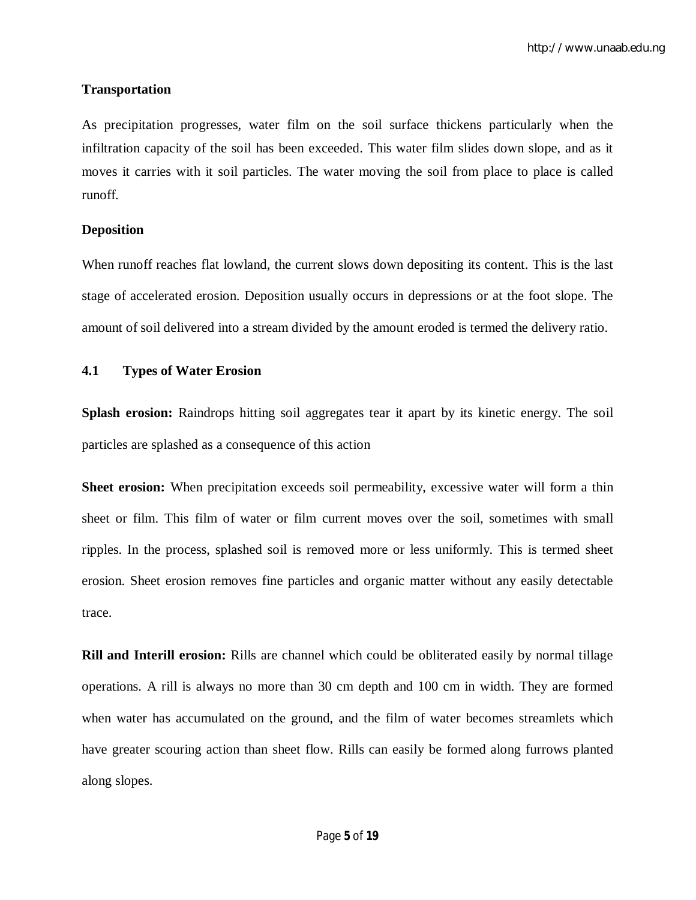#### **Transportation**

As precipitation progresses, water film on the soil surface thickens particularly when the infiltration capacity of the soil has been exceeded. This water film slides down slope, and as it moves it carries with it soil particles. The water moving the soil from place to place is called runoff.

#### **Deposition**

When runoff reaches flat lowland, the current slows down depositing its content. This is the last stage of accelerated erosion. Deposition usually occurs in depressions or at the foot slope. The amount of soil delivered into a stream divided by the amount eroded is termed the delivery ratio.

#### **4.1 Types of Water Erosion**

**Splash erosion:** Raindrops hitting soil aggregates tear it apart by its kinetic energy. The soil particles are splashed as a consequence of this action

**Sheet erosion:** When precipitation exceeds soil permeability, excessive water will form a thin sheet or film. This film of water or film current moves over the soil, sometimes with small ripples. In the process, splashed soil is removed more or less uniformly. This is termed sheet erosion. Sheet erosion removes fine particles and organic matter without any easily detectable trace.

**Rill and Interill erosion:** Rills are channel which could be obliterated easily by normal tillage operations. A rill is always no more than 30 cm depth and 100 cm in width. They are formed when water has accumulated on the ground, and the film of water becomes streamlets which have greater scouring action than sheet flow. Rills can easily be formed along furrows planted along slopes.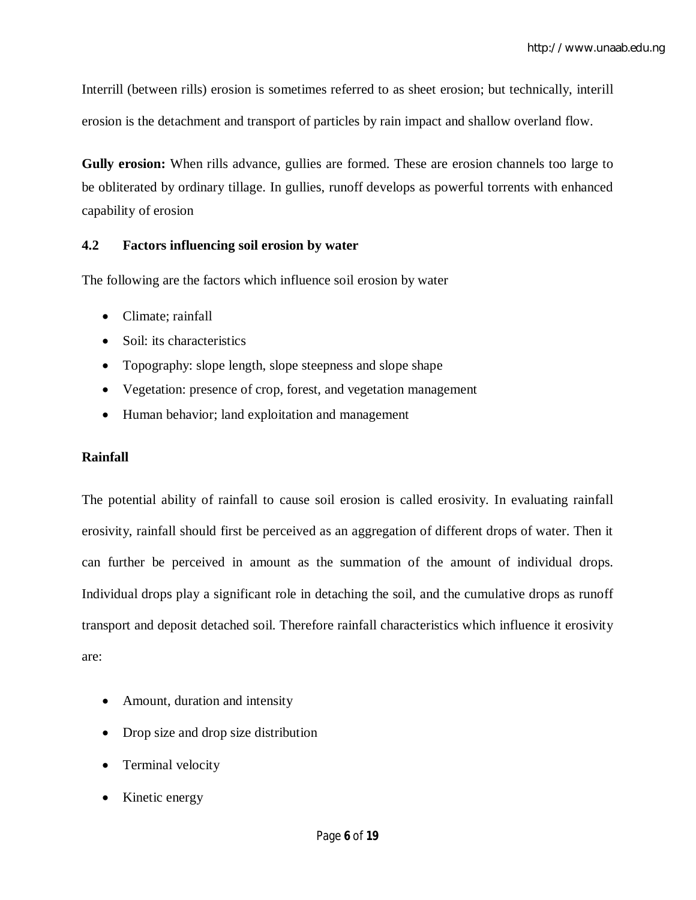Interrill (between rills) erosion is sometimes referred to as sheet erosion; but technically, interill erosion is the detachment and transport of particles by rain impact and shallow overland flow.

**Gully erosion:** When rills advance, gullies are formed. These are erosion channels too large to be obliterated by ordinary tillage. In gullies, runoff develops as powerful torrents with enhanced capability of erosion

## **4.2 Factors influencing soil erosion by water**

The following are the factors which influence soil erosion by water

- Climate: rainfall
- Soil: its characteristics
- Topography: slope length, slope steepness and slope shape
- Vegetation: presence of crop, forest, and vegetation management
- Human behavior; land exploitation and management

## **Rainfall**

The potential ability of rainfall to cause soil erosion is called erosivity. In evaluating rainfall erosivity, rainfall should first be perceived as an aggregation of different drops of water. Then it can further be perceived in amount as the summation of the amount of individual drops. Individual drops play a significant role in detaching the soil, and the cumulative drops as runoff transport and deposit detached soil. Therefore rainfall characteristics which influence it erosivity are:

- Amount, duration and intensity
- Drop size and drop size distribution
- Terminal velocity
- Kinetic energy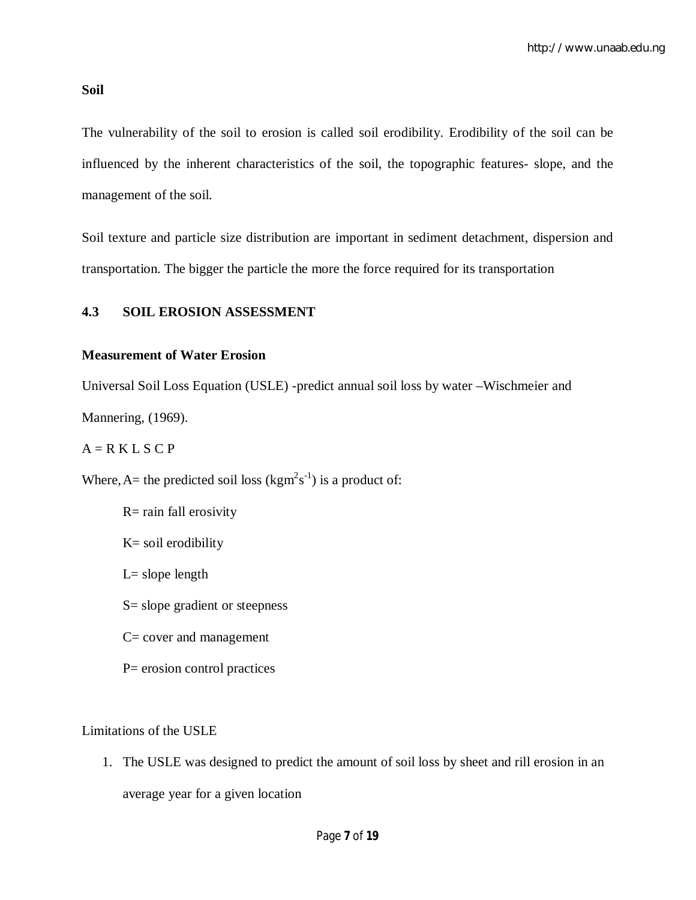#### **Soil**

The vulnerability of the soil to erosion is called soil erodibility. Erodibility of the soil can be influenced by the inherent characteristics of the soil, the topographic features- slope, and the management of the soil.

Soil texture and particle size distribution are important in sediment detachment, dispersion and transportation. The bigger the particle the more the force required for its transportation

#### **4.3 SOIL EROSION ASSESSMENT**

#### **Measurement of Water Erosion**

Universal Soil Loss Equation (USLE) -predict annual soil loss by water –Wischmeier and Mannering, (1969).

#### $A = R K L S C P$

Where, A= the predicted soil loss ( $\text{kgm}^2\text{s}^{-1}$ ) is a product of:

R= rain fall erosivity K= soil erodibility  $L=$  slope length S= slope gradient or steepness C= cover and management P= erosion control practices

Limitations of the USLE

1. The USLE was designed to predict the amount of soil loss by sheet and rill erosion in an average year for a given location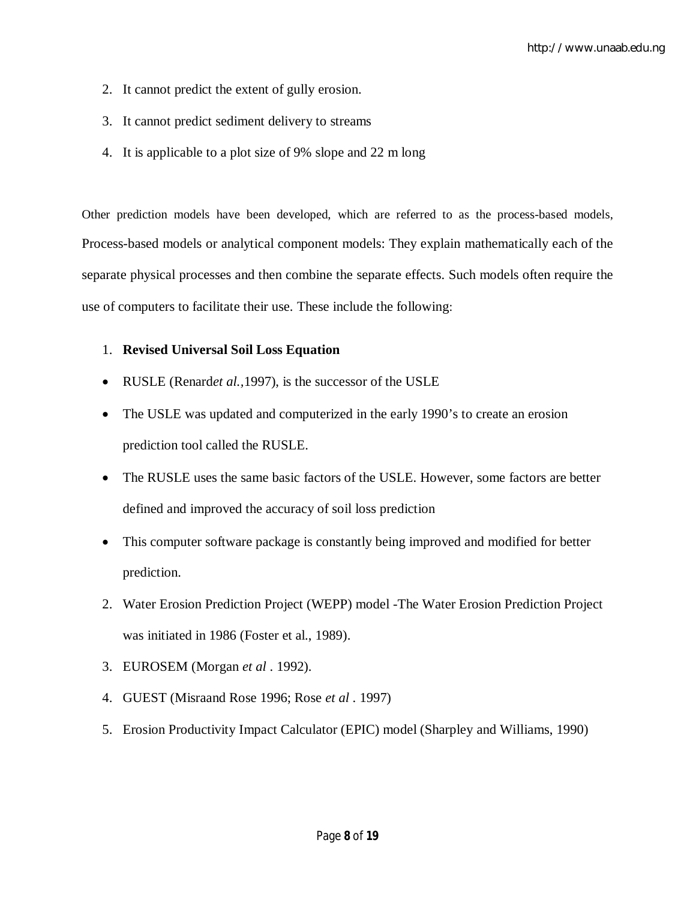- 2. It cannot predict the extent of gully erosion.
- 3. It cannot predict sediment delivery to streams
- 4. It is applicable to a plot size of 9% slope and 22 m long

Other prediction models have been developed, which are referred to as the process-based models, Process-based models or analytical component models: They explain mathematically each of the separate physical processes and then combine the separate effects. Such models often require the use of computers to facilitate their use. These include the following:

#### 1. **Revised Universal Soil Loss Equation**

- RUSLE (Renard*et al.,*1997), is the successor of the USLE
- The USLE was updated and computerized in the early 1990's to create an erosion prediction tool called the RUSLE.
- The RUSLE uses the same basic factors of the USLE. However, some factors are better defined and improved the accuracy of soil loss prediction
- This computer software package is constantly being improved and modified for better prediction.
- 2. Water Erosion Prediction Project (WEPP) model -The Water Erosion Prediction Project was initiated in 1986 (Foster et al., 1989).
- 3. EUROSEM (Morgan *et al* . 1992).
- 4. GUEST (Misraand Rose 1996; Rose *et al* . 1997)
- 5. Erosion Productivity Impact Calculator (EPIC) model (Sharpley and Williams, 1990)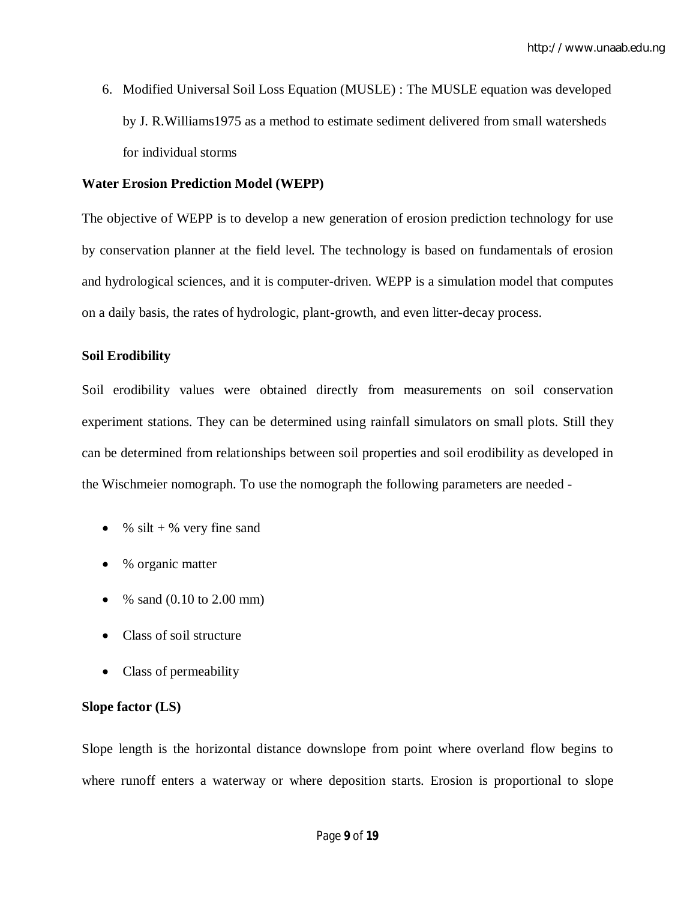6. Modified Universal Soil Loss Equation (MUSLE) : The MUSLE equation was developed by J. R.Williams1975 as a method to estimate sediment delivered from small watersheds for individual storms

#### **Water Erosion Prediction Model (WEPP)**

The objective of WEPP is to develop a new generation of erosion prediction technology for use by conservation planner at the field level. The technology is based on fundamentals of erosion and hydrological sciences, and it is computer-driven. WEPP is a simulation model that computes on a daily basis, the rates of hydrologic, plant-growth, and even litter-decay process.

#### **Soil Erodibility**

Soil erodibility values were obtained directly from measurements on soil conservation experiment stations. They can be determined using rainfall simulators on small plots. Still they can be determined from relationships between soil properties and soil erodibility as developed in the Wischmeier nomograph. To use the nomograph the following parameters are needed -

- $\bullet$  % silt + % very fine sand
- % organic matter
- % sand  $(0.10 \text{ to } 2.00 \text{ mm})$
- Class of soil structure
- Class of permeability

#### **Slope factor (LS)**

Slope length is the horizontal distance downslope from point where overland flow begins to where runoff enters a waterway or where deposition starts. Erosion is proportional to slope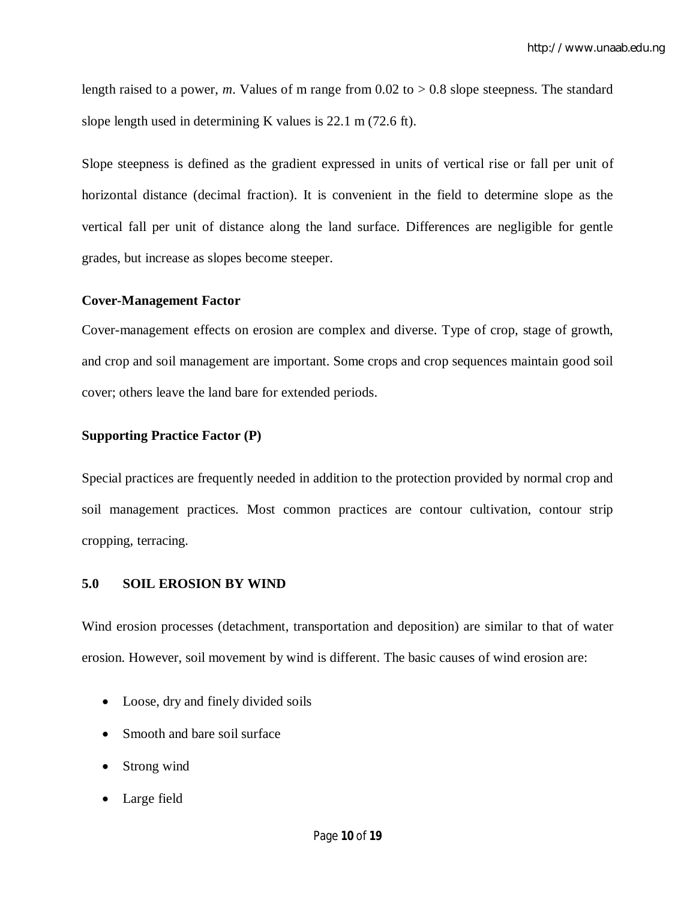length raised to a power, *m*. Values of m range from 0.02 to  $> 0.8$  slope steepness. The standard slope length used in determining K values is 22.1 m (72.6 ft).

Slope steepness is defined as the gradient expressed in units of vertical rise or fall per unit of horizontal distance (decimal fraction). It is convenient in the field to determine slope as the vertical fall per unit of distance along the land surface. Differences are negligible for gentle grades, but increase as slopes become steeper.

#### **Cover-Management Factor**

Cover-management effects on erosion are complex and diverse. Type of crop, stage of growth, and crop and soil management are important. Some crops and crop sequences maintain good soil cover; others leave the land bare for extended periods.

#### **Supporting Practice Factor (P)**

Special practices are frequently needed in addition to the protection provided by normal crop and soil management practices. Most common practices are contour cultivation, contour strip cropping, terracing.

#### **5.0 SOIL EROSION BY WIND**

Wind erosion processes (detachment, transportation and deposition) are similar to that of water erosion. However, soil movement by wind is different. The basic causes of wind erosion are:

- Loose, dry and finely divided soils
- Smooth and bare soil surface
- Strong wind
- Large field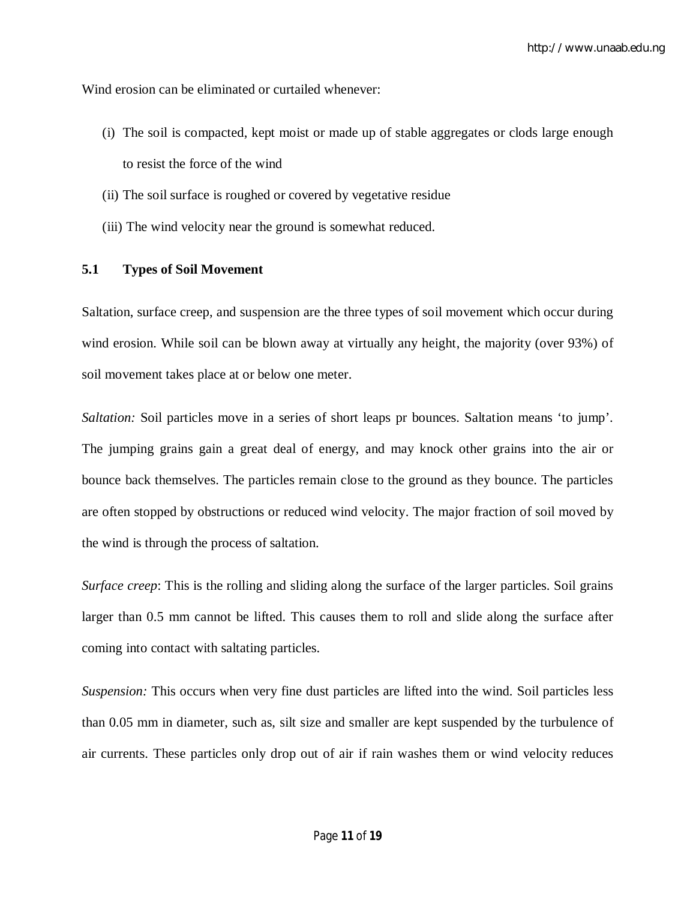Wind erosion can be eliminated or curtailed whenever:

- (i) The soil is compacted, kept moist or made up of stable aggregates or clods large enough to resist the force of the wind
- (ii) The soil surface is roughed or covered by vegetative residue
- (iii) The wind velocity near the ground is somewhat reduced.

#### **5.1 Types of Soil Movement**

Saltation, surface creep, and suspension are the three types of soil movement which occur during wind erosion. While soil can be blown away at virtually any height, the majority (over 93%) of soil movement takes place at or below one meter.

*Saltation:* Soil particles move in a series of short leaps pr bounces. Saltation means 'to jump'. The jumping grains gain a great deal of energy, and may knock other grains into the air or bounce back themselves. The particles remain close to the ground as they bounce. The particles are often stopped by obstructions or reduced wind velocity. The major fraction of soil moved by the wind is through the process of saltation.

*Surface creep*: This is the rolling and sliding along the surface of the larger particles. Soil grains larger than 0.5 mm cannot be lifted. This causes them to roll and slide along the surface after coming into contact with saltating particles.

*Suspension:* This occurs when very fine dust particles are lifted into the wind. Soil particles less than 0.05 mm in diameter, such as, silt size and smaller are kept suspended by the turbulence of air currents. These particles only drop out of air if rain washes them or wind velocity reduces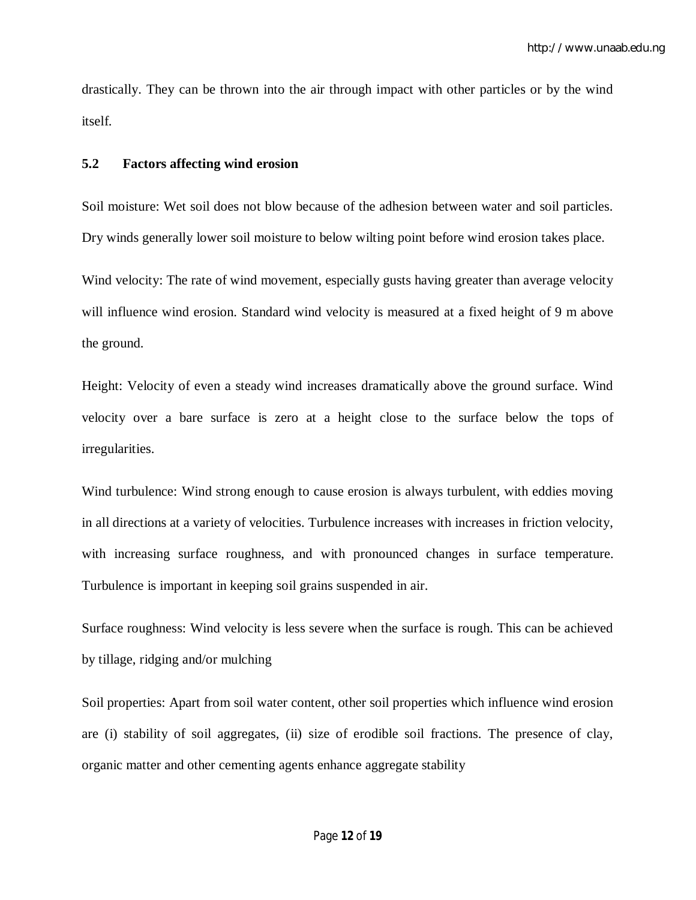drastically. They can be thrown into the air through impact with other particles or by the wind itself.

#### **5.2 Factors affecting wind erosion**

Soil moisture: Wet soil does not blow because of the adhesion between water and soil particles. Dry winds generally lower soil moisture to below wilting point before wind erosion takes place.

Wind velocity: The rate of wind movement, especially gusts having greater than average velocity will influence wind erosion. Standard wind velocity is measured at a fixed height of 9 m above the ground.

Height: Velocity of even a steady wind increases dramatically above the ground surface. Wind velocity over a bare surface is zero at a height close to the surface below the tops of irregularities.

Wind turbulence: Wind strong enough to cause erosion is always turbulent, with eddies moving in all directions at a variety of velocities. Turbulence increases with increases in friction velocity, with increasing surface roughness, and with pronounced changes in surface temperature. Turbulence is important in keeping soil grains suspended in air.

Surface roughness: Wind velocity is less severe when the surface is rough. This can be achieved by tillage, ridging and/or mulching

Soil properties: Apart from soil water content, other soil properties which influence wind erosion are (i) stability of soil aggregates, (ii) size of erodible soil fractions. The presence of clay, organic matter and other cementing agents enhance aggregate stability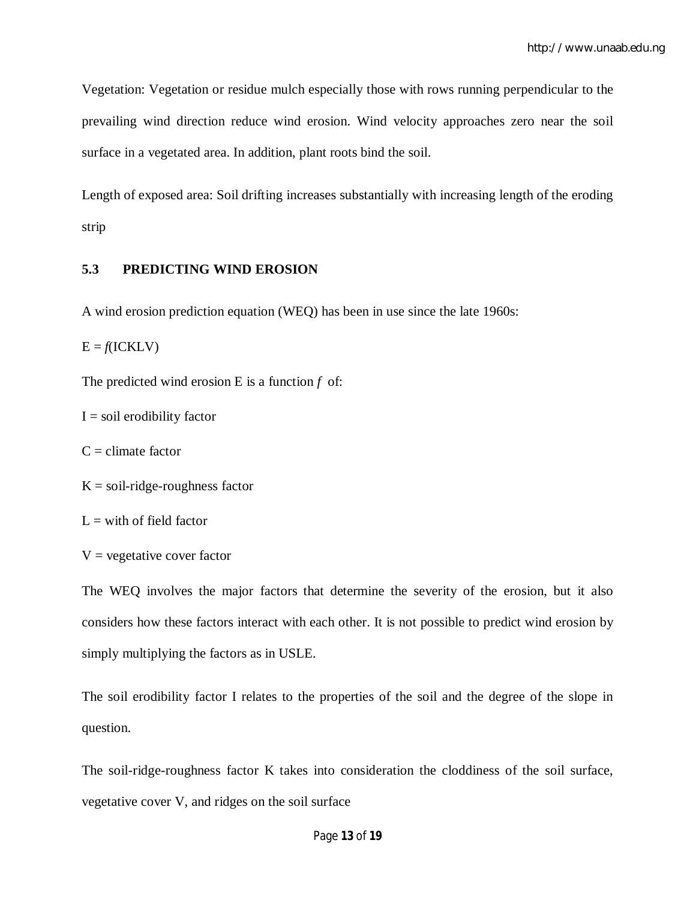Vegetation: Vegetation or residue mulch especially those with rows running perpendicular to the prevailing wind direction reduce wind erosion. Wind velocity approaches zero near the soil surface in a vegetated area. In addition, plant roots bind the soil.

Length of exposed area: Soil drifting increases substantially with increasing length of the eroding strip

## **5.3 PREDICTING WIND EROSION**

A wind erosion prediction equation (WEQ) has been in use since the late 1960s:

 $E = f(ICKLV)$ 

The predicted wind erosion E is a function *f* of:

 $I =$ soil erodibility factor

 $C =$  climate factor

 $K = soil-ridge-roughness factor$ 

 $L =$  with of field factor

 $V =$  vegetative cover factor

The WEQ involves the major factors that determine the severity of the erosion, but it also considers how these factors interact with each other. It is not possible to predict wind erosion by simply multiplying the factors as in USLE.

The soil erodibility factor I relates to the properties of the soil and the degree of the slope in question.

The soil-ridge-roughness factor K takes into consideration the cloddiness of the soil surface, vegetative cover V, and ridges on the soil surface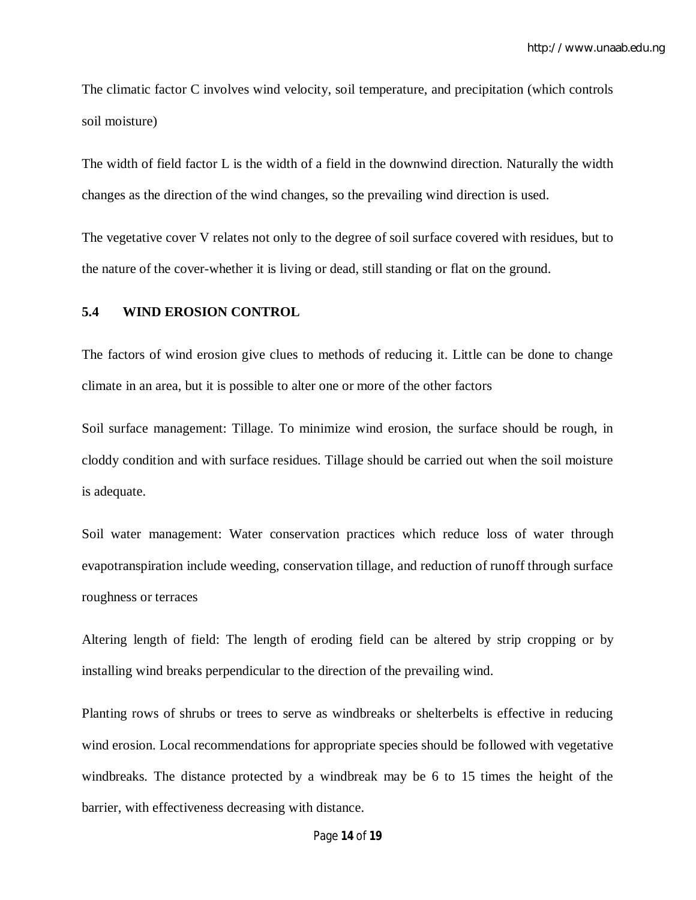The climatic factor C involves wind velocity, soil temperature, and precipitation (which controls soil moisture)

The width of field factor L is the width of a field in the downwind direction. Naturally the width changes as the direction of the wind changes, so the prevailing wind direction is used.

The vegetative cover V relates not only to the degree of soil surface covered with residues, but to the nature of the cover-whether it is living or dead, still standing or flat on the ground.

#### **5.4 WIND EROSION CONTROL**

The factors of wind erosion give clues to methods of reducing it. Little can be done to change climate in an area, but it is possible to alter one or more of the other factors

Soil surface management: Tillage. To minimize wind erosion, the surface should be rough, in cloddy condition and with surface residues. Tillage should be carried out when the soil moisture is adequate.

Soil water management: Water conservation practices which reduce loss of water through evapotranspiration include weeding, conservation tillage, and reduction of runoff through surface roughness or terraces

Altering length of field: The length of eroding field can be altered by strip cropping or by installing wind breaks perpendicular to the direction of the prevailing wind.

Planting rows of shrubs or trees to serve as windbreaks or shelterbelts is effective in reducing wind erosion. Local recommendations for appropriate species should be followed with vegetative windbreaks. The distance protected by a windbreak may be 6 to 15 times the height of the barrier, with effectiveness decreasing with distance.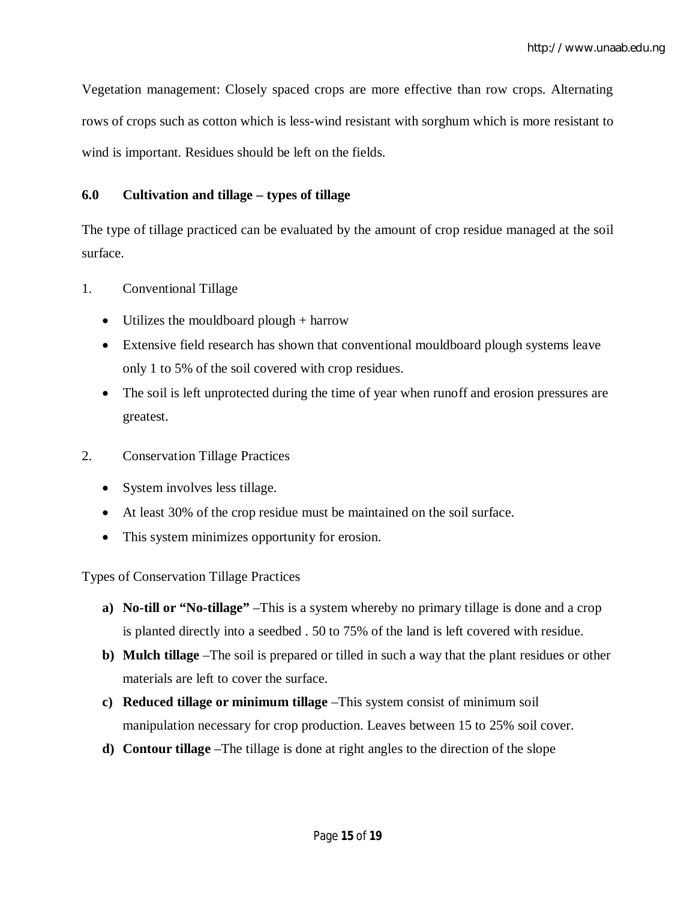Vegetation management: Closely spaced crops are more effective than row crops. Alternating rows of crops such as cotton which is less-wind resistant with sorghum which is more resistant to wind is important. Residues should be left on the fields.

## **6.0 Cultivation and tillage – types of tillage**

The type of tillage practiced can be evaluated by the amount of crop residue managed at the soil surface.

- 1. Conventional Tillage
	- Utilizes the mouldboard plough  $+$  harrow
	- Extensive field research has shown that conventional mouldboard plough systems leave only 1 to 5% of the soil covered with crop residues.
	- The soil is left unprotected during the time of year when runoff and erosion pressures are greatest.
- 2. Conservation Tillage Practices
	- System involves less tillage.
	- At least 30% of the crop residue must be maintained on the soil surface.
	- This system minimizes opportunity for erosion.

Types of Conservation Tillage Practices

- **a) No-till or "No-tillage"** –This is a system whereby no primary tillage is done and a crop is planted directly into a seedbed . 50 to 75% of the land is left covered with residue.
- **b) Mulch tillage** –The soil is prepared or tilled in such a way that the plant residues or other materials are left to cover the surface.
- **c) Reduced tillage or minimum tillage** –This system consist of minimum soil manipulation necessary for crop production. Leaves between 15 to 25% soil cover.
- **d) Contour tillage** –The tillage is done at right angles to the direction of the slope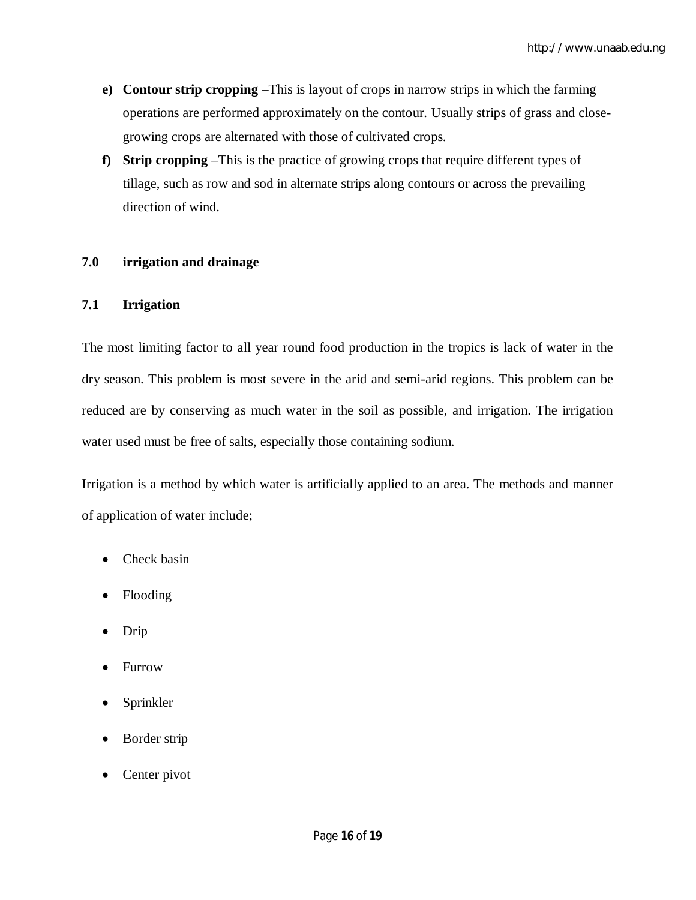- **e) Contour strip cropping** –This is layout of crops in narrow strips in which the farming operations are performed approximately on the contour. Usually strips of grass and closegrowing crops are alternated with those of cultivated crops.
- **f) Strip cropping** –This is the practice of growing crops that require different types of tillage, such as row and sod in alternate strips along contours or across the prevailing direction of wind.

## **7.0 irrigation and drainage**

#### **7.1 Irrigation**

The most limiting factor to all year round food production in the tropics is lack of water in the dry season. This problem is most severe in the arid and semi-arid regions. This problem can be reduced are by conserving as much water in the soil as possible, and irrigation. The irrigation water used must be free of salts, especially those containing sodium.

Irrigation is a method by which water is artificially applied to an area. The methods and manner of application of water include;

- Check basin
- Flooding
- Drip
- Furrow
- Sprinkler
- Border strip
- Center pivot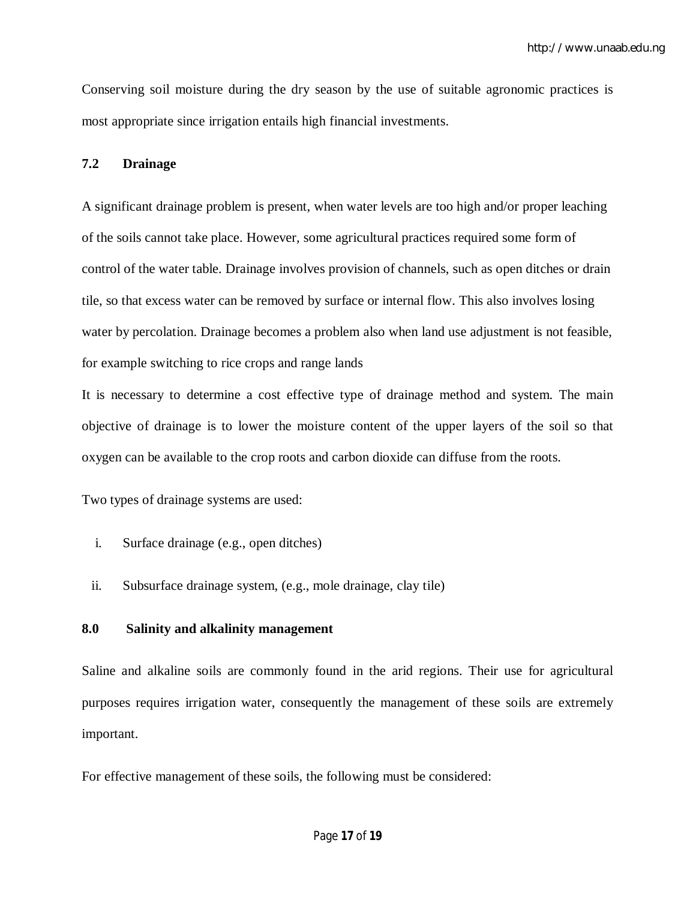Conserving soil moisture during the dry season by the use of suitable agronomic practices is most appropriate since irrigation entails high financial investments.

#### **7.2 Drainage**

A significant drainage problem is present, when water levels are too high and/or proper leaching of the soils cannot take place. However, some agricultural practices required some form of control of the water table. Drainage involves provision of channels, such as open ditches or drain tile, so that excess water can be removed by surface or internal flow. This also involves losing water by percolation. Drainage becomes a problem also when land use adjustment is not feasible, for example switching to rice crops and range lands

It is necessary to determine a cost effective type of drainage method and system. The main objective of drainage is to lower the moisture content of the upper layers of the soil so that oxygen can be available to the crop roots and carbon dioxide can diffuse from the roots.

Two types of drainage systems are used:

- i. Surface drainage (e.g., open ditches)
- ii. Subsurface drainage system, (e.g., mole drainage, clay tile)

#### **8.0 Salinity and alkalinity management**

Saline and alkaline soils are commonly found in the arid regions. Their use for agricultural purposes requires irrigation water, consequently the management of these soils are extremely important.

For effective management of these soils, the following must be considered: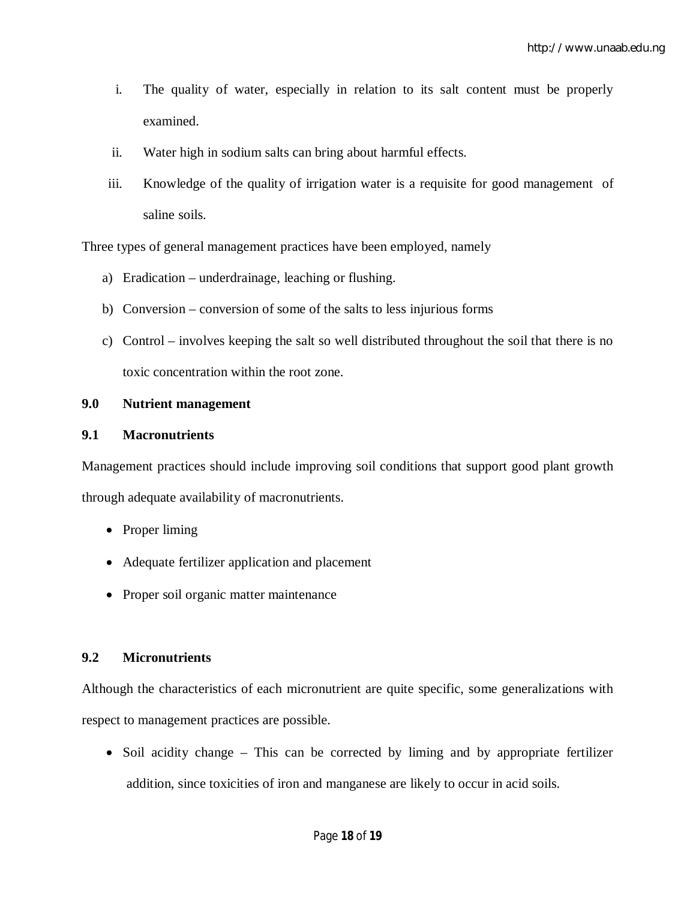- i. The quality of water, especially in relation to its salt content must be properly examined.
- ii. Water high in sodium salts can bring about harmful effects.
- iii. Knowledge of the quality of irrigation water is a requisite for good management of saline soils.

Three types of general management practices have been employed, namely

- a) Eradication underdrainage, leaching or flushing.
- b) Conversion conversion of some of the salts to less injurious forms
- c) Control involves keeping the salt so well distributed throughout the soil that there is no toxic concentration within the root zone.

#### **9.0 Nutrient management**

#### **9.1 Macronutrients**

Management practices should include improving soil conditions that support good plant growth through adequate availability of macronutrients.

- Proper liming
- Adequate fertilizer application and placement
- Proper soil organic matter maintenance

#### **9.2 Micronutrients**

Although the characteristics of each micronutrient are quite specific, some generalizations with respect to management practices are possible.

• Soil acidity change – This can be corrected by liming and by appropriate fertilizer addition, since toxicities of iron and manganese are likely to occur in acid soils.